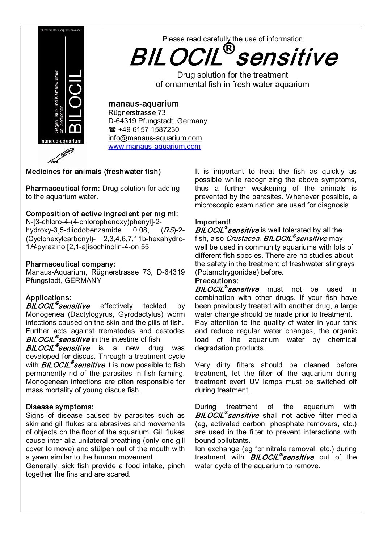

# Please read carefully the use of information BILOCIL ® sensitive

Drug solution for the treatment of ornamental fish in fresh water aquarium

## manaus-aquarium

Rügnerstrasse 73 D-64319 Pfungstadt, Germany <sup>2</sup> +49 6157 1587230 info@manaus-aquarium.com www.manaus-aquarium.com

## Medicines for animals (freshwater fish)

Pharmaceutical form: Drug solution for adding to the aquarium water.

## Composition of active ingredient per mg ml:

 $N-[3-chloro-4-(4-chlorophenoxy)phenyl]-2-hvdrox-3.5-diiodobenzamide 0.08. (RS)-2$ hydroxy-3.5-diiodobenzamide 0.08, (Cyclohexylcarbonyl) - 2,3,4,6,7,11b-hexahydro- $1H$ -pyrazino  $[2,1$ -a]isochinolin-4-on 55

### Pharmaceutical company:

Manaus-Aquarium, Rügnerstrasse 73, D-64319 Pfungstadt, GERMANY

## Applications:

 $BILOCIL$ <sup>®</sup>sensitive effectively tackled by Monogenea (Dactylogyrus, Gyrodactylus) worm infections caused on the skin and the gills of fish. Further acts against trematodes and cestodes **BILOCIL<sup>®</sup>sensitive** in the intestine of fish.

**BILOCIL<sup>®</sup>sensitive** is a new drug was developed for discus. Through a treatment cycle with **BILOCIL<sup>®</sup> sensitive** it is now possible to fish permanently rid of the parasites in fish farming. Monogenean infections are often responsible for mass mortality of young discus fish.

### Disease symptoms:

Signs of disease caused by parasites such as skin and gill flukes are abrasives and movements of objects on the floor of the aquarium. Gill flukes cause inter alia unilateral breathing (only one gill cover to move) and stülpen out of the mouth with a yawn similar to the human movement.

Generally, sick fish provide a food intake, pinch together the fins and are scared.

It is important to treat the fish as quickly as possible while recognizing the above symptoms, thus a further weakening of the animals is prevented by the parasites. Whenever possible, a microscopic examination are used for diagnosis.

### Important!

**BILOCIL<sup>®</sup> sensitive** is well tolerated by all the fish, also *Crustacea. BILOCIL<sup>®</sup>sensitive* may well be used in community aquariums with lots of different fish species. There are no studies about the safety in the treatment of freshwater stingrays (Potamotrygonidae) before.

## Precautions:

**BILOCIL<sup>®</sup>sensitive** must not be used in combination with other drugs. If your fish have been previously treated with another drug, a large water change should be made prior to treatment. Pay attention to the quality of water in your tank and reduce regular water changes, the organic load of the aquarium water by chemical degradation products.

Very dirty filters should be cleaned before treatment, let the filter of the aquarium during treatment ever! UV lamps must be switched off during treatment.

During treatment of the aquarium with **BILOCIL<sup>®</sup>sensitive** shall not active filter media (eg, activated carbon, phosphate removers, etc.) are used in the filter to prevent interactions with bound pollutants.

Ion exchange (eg for nitrate removal, etc.) during treatment with **BILOCIL<sup>®</sup>sensitive** out of the water cycle of the aquarium to remove.